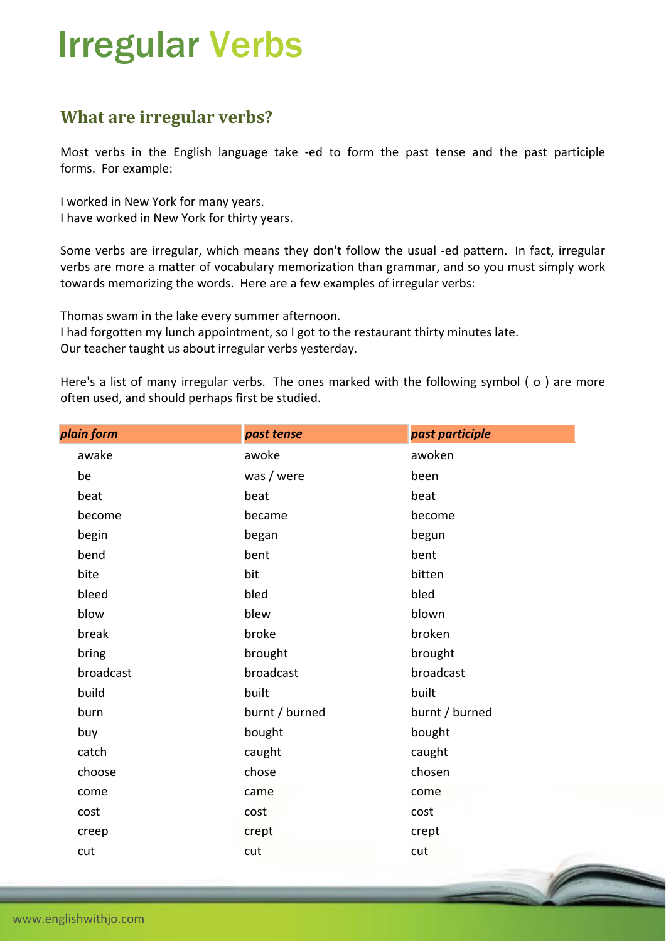## Irregular Verbs

## **What are irregular verbs?**

Most verbs in the English language take -ed to form the past tense and the past participle forms. For example:

I worked in New York for many years. I have worked in New York for thirty years.

Some verbs are irregular, which means they don't follow the usual -ed pattern. In fact, irregular verbs are more a matter of vocabulary memorization than grammar, and so you must simply work towards memorizing the words. Here are a few examples of irregular verbs:

Thomas swam in the lake every summer afternoon.

I had forgotten my lunch appointment, so I got to the restaurant thirty minutes late. Our teacher taught us about irregular verbs yesterday.

Here's a list of many irregular verbs. The ones marked with the following symbol ( ο ) are more often used, and should perhaps first be studied.

| plain form | past tense     | past participle |
|------------|----------------|-----------------|
| awake      | awoke          | awoken          |
| be         | was / were     | been            |
| beat       | beat           | beat            |
| become     | became         | become          |
| begin      | began          | begun           |
| bend       | bent           | bent            |
| bite       | bit            | bitten          |
| bleed      | bled           | bled            |
| blow       | blew           | blown           |
| break      | broke          | broken          |
| bring      | brought        | brought         |
| broadcast  | broadcast      | broadcast       |
| build      | built          | built           |
| burn       | burnt / burned | burnt / burned  |
| buy        | bought         | bought          |
| catch      | caught         | caught          |
| choose     | chose          | chosen          |
| come       | came           | come            |
| cost       | cost           | cost            |
| creep      | crept          | crept           |
| cut        | cut            | cut             |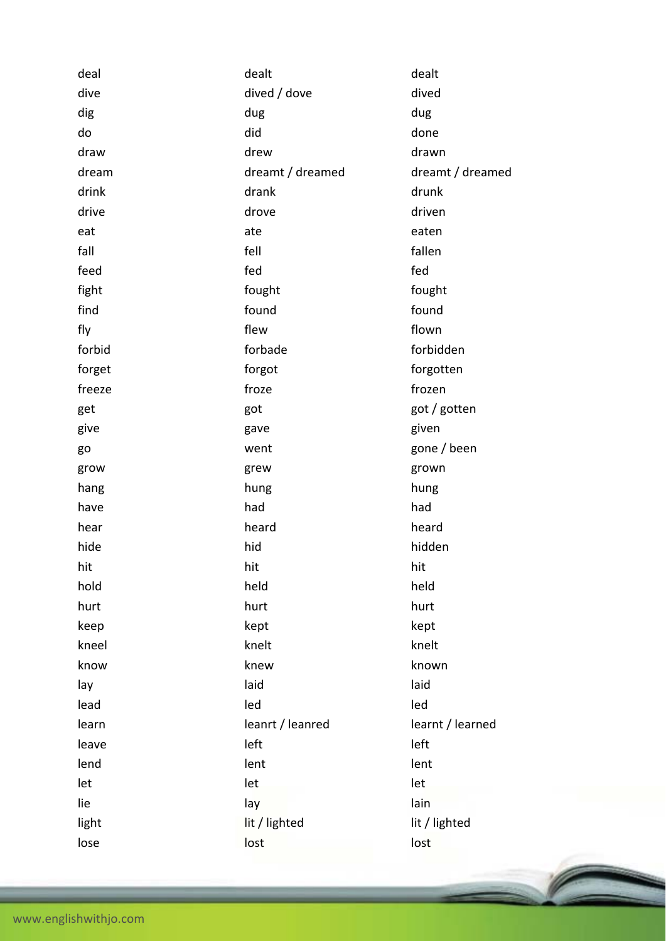| deal   | dealt            | dealt            |
|--------|------------------|------------------|
| dive   | dived / dove     | dived            |
| dig    | dug              | dug              |
| do     | did              | done             |
| draw   | drew             | drawn            |
| dream  | dreamt / dreamed | dreamt / dreamed |
| drink  | drank            | drunk            |
| drive  | drove            | driven           |
| eat    | ate              | eaten            |
| fall   | fell             | fallen           |
| feed   | fed              | fed              |
| fight  | fought           | fought           |
| find   | found            | found            |
| fly    | flew             | flown            |
| forbid | forbade          | forbidden        |
| forget | forgot           | forgotten        |
| freeze | froze            | frozen           |
| get    | got              | got / gotten     |
| give   | gave             | given            |
| go     | went             | gone / been      |
| grow   | grew             | grown            |
| hang   | hung             | hung             |
| have   | had              | had              |
| hear   | heard            | heard            |
| hide   | hid              | hidden           |
| hit    | hit              | hit              |
| hold   | held             | held             |
| hurt   | hurt             | hurt             |
| keep   | kept             | kept             |
| kneel  | knelt            | knelt            |
| know   | knew             | known            |
| lay    | laid             | laid             |
| lead   | led              | led              |
| learn  | leanrt / leanred | learnt / learned |
| leave  | left             | left             |
| lend   | lent             | lent             |
| let    | let              | let              |
| lie    | lay              | lain             |
| light  | lit / lighted    | lit / lighted    |
| lose   | lost             | lost             |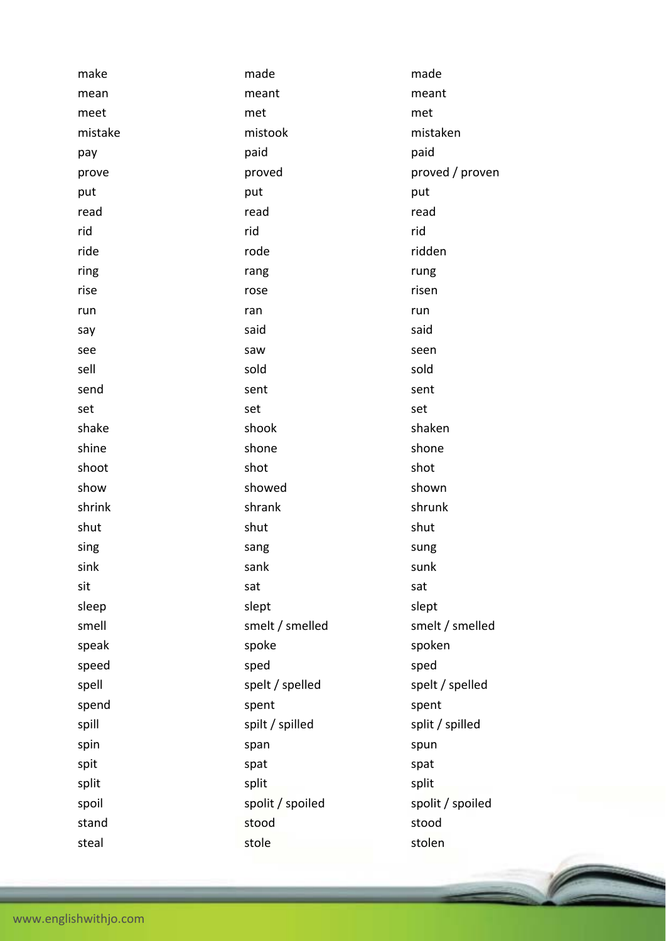| make    | made             | made             |
|---------|------------------|------------------|
| mean    | meant            | meant            |
| meet    | met              | met              |
| mistake | mistook          | mistaken         |
| pay     | paid             | paid             |
| prove   | proved           | proved / proven  |
| put     | put              | put              |
| read    | read             | read             |
| rid     | rid              | rid              |
| ride    | rode             | ridden           |
| ring    | rang             | rung             |
| rise    | rose             | risen            |
| run     | ran              | run              |
| say     | said             | said             |
| see     | saw              | seen             |
| sell    | sold             | sold             |
| send    | sent             | sent             |
| set     | set              | set              |
| shake   | shook            | shaken           |
| shine   | shone            | shone            |
| shoot   | shot             | shot             |
| show    | showed           | shown            |
| shrink  | shrank           | shrunk           |
| shut    | shut             | shut             |
| sing    | sang             | sung             |
| sink    | sank             | sunk             |
| sit     | sat              | sat              |
| sleep   | slept            | slept            |
| smell   | smelt / smelled  | smelt / smelled  |
| speak   | spoke            | spoken           |
| speed   | sped             | sped             |
| spell   | spelt / spelled  | spelt / spelled  |
| spend   | spent            | spent            |
| spill   | spilt / spilled  | split / spilled  |
| spin    | span             | spun             |
| spit    | spat             | spat             |
| split   | split            | split            |
| spoil   | spolit / spoiled | spolit / spoiled |
| stand   | stood            | stood            |
| steal   | stole            | stolen           |